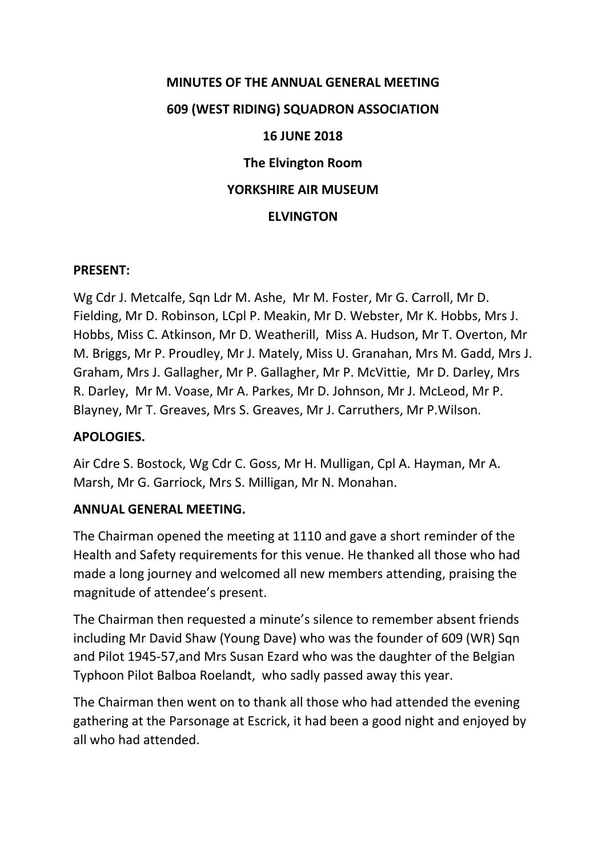# **MINUTES OF THE ANNUAL GENERAL MEETING 609 (WEST RIDING) SQUADRON ASSOCIATION 16 JUNE 2018 The Elvington Room YORKSHIRE AIR MUSEUM ELVINGTON**

## **PRESENT:**

Wg Cdr J. Metcalfe, Sqn Ldr M. Ashe, Mr M. Foster, Mr G. Carroll, Mr D. Fielding, Mr D. Robinson, LCpl P. Meakin, Mr D. Webster, Mr K. Hobbs, Mrs J. Hobbs, Miss C. Atkinson, Mr D. Weatherill, Miss A. Hudson, Mr T. Overton, Mr M. Briggs, Mr P. Proudley, Mr J. Mately, Miss U. Granahan, Mrs M. Gadd, Mrs J. Graham, Mrs J. Gallagher, Mr P. Gallagher, Mr P. McVittie, Mr D. Darley, Mrs R. Darley, Mr M. Voase, Mr A. Parkes, Mr D. Johnson, Mr J. McLeod, Mr P. Blayney, Mr T. Greaves, Mrs S. Greaves, Mr J. Carruthers, Mr P.Wilson.

# **APOLOGIES.**

Air Cdre S. Bostock, Wg Cdr C. Goss, Mr H. Mulligan, Cpl A. Hayman, Mr A. Marsh, Mr G. Garriock, Mrs S. Milligan, Mr N. Monahan.

### **ANNUAL GENERAL MEETING.**

The Chairman opened the meeting at 1110 and gave a short reminder of the Health and Safety requirements for this venue. He thanked all those who had made a long journey and welcomed all new members attending, praising the magnitude of attendee's present.

The Chairman then requested a minute's silence to remember absent friends including Mr David Shaw (Young Dave) who was the founder of 609 (WR) Sqn and Pilot 1945-57,and Mrs Susan Ezard who was the daughter of the Belgian Typhoon Pilot Balboa Roelandt, who sadly passed away this year.

The Chairman then went on to thank all those who had attended the evening gathering at the Parsonage at Escrick, it had been a good night and enjoyed by all who had attended.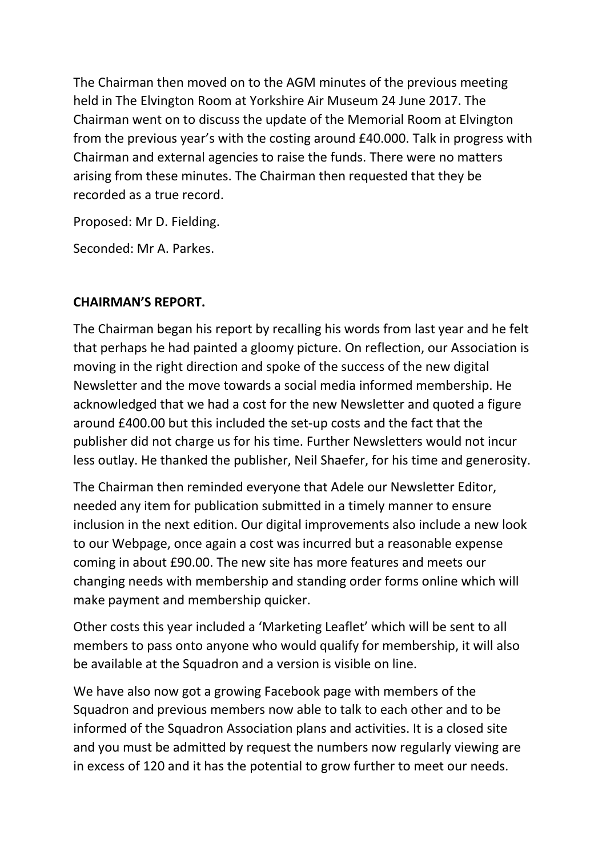The Chairman then moved on to the AGM minutes of the previous meeting held in The Elvington Room at Yorkshire Air Museum 24 June 2017. The Chairman went on to discuss the update of the Memorial Room at Elvington from the previous year's with the costing around £40.000. Talk in progress with Chairman and external agencies to raise the funds. There were no matters arising from these minutes. The Chairman then requested that they be recorded as a true record.

Proposed: Mr D. Fielding.

Seconded: Mr A. Parkes.

# **CHAIRMAN'S REPORT.**

The Chairman began his report by recalling his words from last year and he felt that perhaps he had painted a gloomy picture. On reflection, our Association is moving in the right direction and spoke of the success of the new digital Newsletter and the move towards a social media informed membership. He acknowledged that we had a cost for the new Newsletter and quoted a figure around £400.00 but this included the set-up costs and the fact that the publisher did not charge us for his time. Further Newsletters would not incur less outlay. He thanked the publisher, Neil Shaefer, for his time and generosity.

The Chairman then reminded everyone that Adele our Newsletter Editor, needed any item for publication submitted in a timely manner to ensure inclusion in the next edition. Our digital improvements also include a new look to our Webpage, once again a cost was incurred but a reasonable expense coming in about £90.00. The new site has more features and meets our changing needs with membership and standing order forms online which will make payment and membership quicker.

Other costs this year included a 'Marketing Leaflet' which will be sent to all members to pass onto anyone who would qualify for membership, it will also be available at the Squadron and a version is visible on line.

We have also now got a growing Facebook page with members of the Squadron and previous members now able to talk to each other and to be informed of the Squadron Association plans and activities. It is a closed site and you must be admitted by request the numbers now regularly viewing are in excess of 120 and it has the potential to grow further to meet our needs.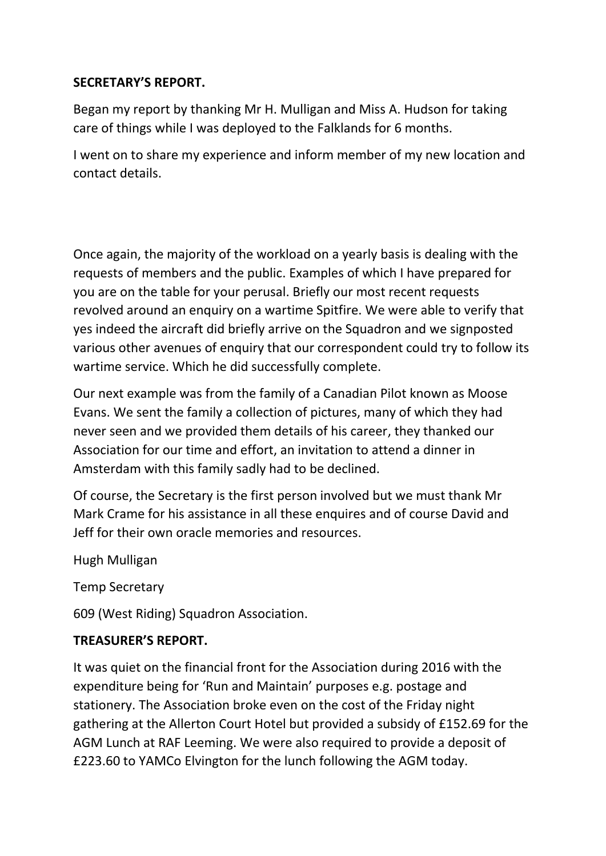# **SECRETARY'S REPORT.**

Began my report by thanking Mr H. Mulligan and Miss A. Hudson for taking care of things while I was deployed to the Falklands for 6 months.

I went on to share my experience and inform member of my new location and contact details.

Once again, the majority of the workload on a yearly basis is dealing with the requests of members and the public. Examples of which I have prepared for you are on the table for your perusal. Briefly our most recent requests revolved around an enquiry on a wartime Spitfire. We were able to verify that yes indeed the aircraft did briefly arrive on the Squadron and we signposted various other avenues of enquiry that our correspondent could try to follow its wartime service. Which he did successfully complete.

Our next example was from the family of a Canadian Pilot known as Moose Evans. We sent the family a collection of pictures, many of which they had never seen and we provided them details of his career, they thanked our Association for our time and effort, an invitation to attend a dinner in Amsterdam with this family sadly had to be declined.

Of course, the Secretary is the first person involved but we must thank Mr Mark Crame for his assistance in all these enquires and of course David and Jeff for their own oracle memories and resources.

Hugh Mulligan

Temp Secretary

609 (West Riding) Squadron Association.

# **TREASURER'S REPORT.**

It was quiet on the financial front for the Association during 2016 with the expenditure being for 'Run and Maintain' purposes e.g. postage and stationery. The Association broke even on the cost of the Friday night gathering at the Allerton Court Hotel but provided a subsidy of £152.69 for the AGM Lunch at RAF Leeming. We were also required to provide a deposit of £223.60 to YAMCo Elvington for the lunch following the AGM today.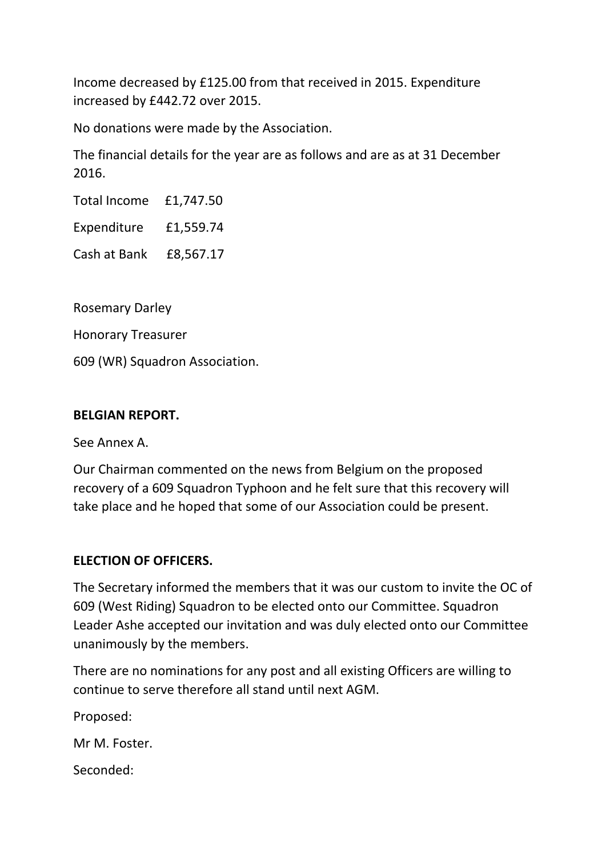Income decreased by £125.00 from that received in 2015. Expenditure increased by £442.72 over 2015.

No donations were made by the Association.

The financial details for the year are as follows and are as at 31 December 2016.

Total Income £1,747.50

Expenditure £1,559.74

Cash at Bank £8,567.17

Rosemary Darley

Honorary Treasurer

609 (WR) Squadron Association.

### **BELGIAN REPORT.**

See Annex A.

Our Chairman commented on the news from Belgium on the proposed recovery of a 609 Squadron Typhoon and he felt sure that this recovery will take place and he hoped that some of our Association could be present.

### **ELECTION OF OFFICERS.**

The Secretary informed the members that it was our custom to invite the OC of 609 (West Riding) Squadron to be elected onto our Committee. Squadron Leader Ashe accepted our invitation and was duly elected onto our Committee unanimously by the members.

There are no nominations for any post and all existing Officers are willing to continue to serve therefore all stand until next AGM.

Proposed:

Mr M. Foster.

Seconded: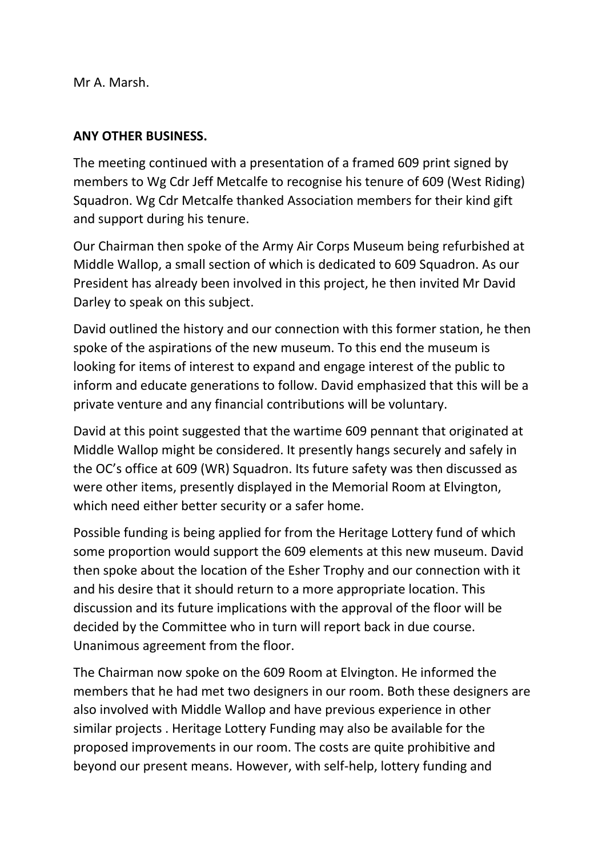Mr A. Marsh.

## **ANY OTHER BUSINESS.**

The meeting continued with a presentation of a framed 609 print signed by members to Wg Cdr Jeff Metcalfe to recognise his tenure of 609 (West Riding) Squadron. Wg Cdr Metcalfe thanked Association members for their kind gift and support during his tenure.

Our Chairman then spoke of the Army Air Corps Museum being refurbished at Middle Wallop, a small section of which is dedicated to 609 Squadron. As our President has already been involved in this project, he then invited Mr David Darley to speak on this subject.

David outlined the history and our connection with this former station, he then spoke of the aspirations of the new museum. To this end the museum is looking for items of interest to expand and engage interest of the public to inform and educate generations to follow. David emphasized that this will be a private venture and any financial contributions will be voluntary.

David at this point suggested that the wartime 609 pennant that originated at Middle Wallop might be considered. It presently hangs securely and safely in the OC's office at 609 (WR) Squadron. Its future safety was then discussed as were other items, presently displayed in the Memorial Room at Elvington, which need either better security or a safer home.

Possible funding is being applied for from the Heritage Lottery fund of which some proportion would support the 609 elements at this new museum. David then spoke about the location of the Esher Trophy and our connection with it and his desire that it should return to a more appropriate location. This discussion and its future implications with the approval of the floor will be decided by the Committee who in turn will report back in due course. Unanimous agreement from the floor.

The Chairman now spoke on the 609 Room at Elvington. He informed the members that he had met two designers in our room. Both these designers are also involved with Middle Wallop and have previous experience in other similar projects . Heritage Lottery Funding may also be available for the proposed improvements in our room. The costs are quite prohibitive and beyond our present means. However, with self-help, lottery funding and